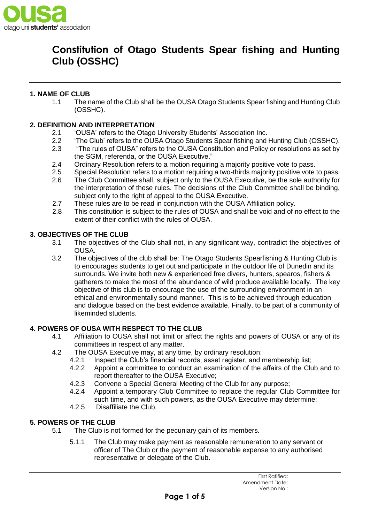

## **1. NAME OF CLUB**

1.1 The name of the Club shall be the OUSA Otago Students Spear fishing and Hunting Club (OSSHC).

## **2. DEFINITION AND INTERPRETATION**

- 2.1 'OUSA' refers to the Otago University Students' Association Inc.
- 2.2 'The Club' refers to the OUSA Otago Students Spear fishing and Hunting Club (OSSHC).
- 2.3 "The rules of OUSA" refers to the OUSA Constitution and Policy or resolutions as set by the SGM, referenda, or the OUSA Executive."
- 2.4 Ordinary Resolution refers to a motion requiring a majority positive vote to pass.
- 2.5 Special Resolution refers to a motion requiring a two-thirds majority positive vote to pass.
- 2.6 The Club Committee shall, subject only to the OUSA Executive, be the sole authority for the interpretation of these rules. The decisions of the Club Committee shall be binding, subject only to the right of appeal to the OUSA Executive.
- 2.7 These rules are to be read in conjunction with the OUSA Affiliation policy.
- 2.8 This constitution is subject to the rules of OUSA and shall be void and of no effect to the extent of their conflict with the rules of OUSA.

## **3. OBJECTIVES OF THE CLUB**

- 3.1 The objectives of the Club shall not, in any significant way, contradict the objectives of OUSA.
- 3.2 The objectives of the club shall be: The Otago Students Spearfishing & Hunting Club is to encourages students to get out and participate in the outdoor life of Dunedin and its surrounds. We invite both new & experienced free divers, hunters, spearos, fishers & gatherers to make the most of the abundance of wild produce available locally. The key objective of this club is to encourage the use of the surrounding environment in an ethical and environmentally sound manner. This is to be achieved through education and dialogue based on the best evidence available. Finally, to be part of a community of likeminded students.

### **4. POWERS OF OUSA WITH RESPECT TO THE CLUB**

- 4.1 Affiliation to OUSA shall not limit or affect the rights and powers of OUSA or any of its committees in respect of any matter.
- 4.2 The OUSA Executive may, at any time, by ordinary resolution:
	- 4.2.1 Inspect the Club's financial records, asset register, and membership list;
	- 4.2.2 Appoint a committee to conduct an examination of the affairs of the Club and to report thereafter to the OUSA Executive;
	- 4.2.3 Convene a Special General Meeting of the Club for any purpose;
	- 4.2.4 Appoint a temporary Club Committee to replace the regular Club Committee for such time, and with such powers, as the OUSA Executive may determine;
	- 4.2.5 Disaffiliate the Club.

### **5. POWERS OF THE CLUB**

- 5.1 The Club is not formed for the pecuniary gain of its members.
	- 5.1.1 The Club may make payment as reasonable remuneration to any servant or officer of The Club or the payment of reasonable expense to any authorised representative or delegate of the Club.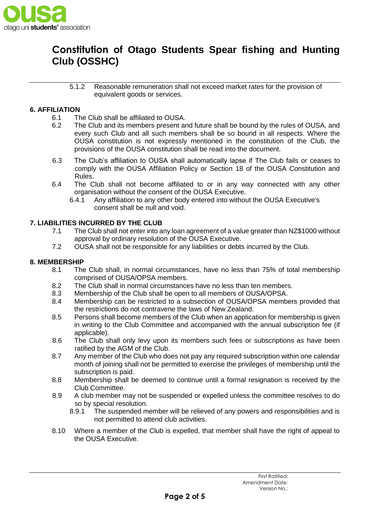

5.1.2 Reasonable remuneration shall not exceed market rates for the provision of equivalent goods or services.

## **6. AFFILIATION**

- 6.1 The Club shall be affiliated to OUSA.
- 6.2 The Club and its members present and future shall be bound by the rules of OUSA, and every such Club and all such members shall be so bound in all respects. Where the OUSA constitution is not expressly mentioned in the constitution of the Club, the provisions of the OUSA constitution shall be read into the document.
- 6.3 The Club's affiliation to OUSA shall automatically lapse if The Club fails or ceases to comply with the OUSA Affiliation Policy or Section 18 of the OUSA Constitution and Rules.
- 6.4 The Club shall not become affiliated to or in any way connected with any other organisation without the consent of the OUSA Executive.
	- 6.4.1 Any affiliation to any other body entered into without the OUSA Executive's consent shall be null and void.

### **7. LIABILITIES INCURRED BY THE CLUB**

- 7.1 The Club shall not enter into any loan agreement of a value greater than NZ\$1000 without approval by ordinary resolution of the OUSA Executive.
- 7.2 OUSA shall not be responsible for any liabilities or debts incurred by the Club.

### **8. MEMBERSHIP**

- 8.1 The Club shall, in normal circumstances, have no less than 75% of total membership comprised of OUSA/OPSA members.
- 8.2 The Club shall in normal circumstances have no less than ten members.
- 8.3 Membership of the Club shall be open to all members of OUSA/OPSA.
- 8.4 Membership can be restricted to a subsection of OUSA/OPSA members provided that the restrictions do not contravene the laws of New Zealand.
- 8.5 Persons shall become members of the Club when an application for membership is given in writing to the Club Committee and accompanied with the annual subscription fee (if applicable).
- 8.6 The Club shall only levy upon its members such fees or subscriptions as have been ratified by the AGM of the Club.
- 8.7 Any member of the Club who does not pay any required subscription within one calendar month of joining shall not be permitted to exercise the privileges of membership until the subscription is paid.
- 8.8 Membership shall be deemed to continue until a formal resignation is received by the Club Committee.
- 8.9 A club member may not be suspended or expelled unless the committee resolves to do so by special resolution.
	- 8.9.1 The suspended member will be relieved of any powers and responsibilities and is not permitted to attend club activities.
- 8.10 Where a member of the Club is expelled, that member shall have the right of appeal to the OUSA Executive.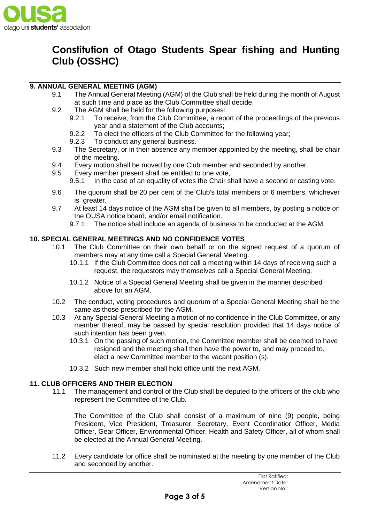

## **9. ANNUAL GENERAL MEETING (AGM)**

- 9.1 The Annual General Meeting (AGM) of the Club shall be held during the month of August at such time and place as the Club Committee shall decide.
- 9.2 The AGM shall be held for the following purposes:
	- 9.2.1 To receive, from the Club Committee, a report of the proceedings of the previous year and a statement of the Club accounts;
	- 9.2.2 To elect the officers of the Club Committee for the following year;
	- 9.2.3 To conduct any general business.
- 9.3 The Secretary, or in their absence any member appointed by the meeting, shall be chair of the meeting.
- 9.4 Every motion shall be moved by one Club member and seconded by another.
- 9.5 Every member present shall be entitled to one vote,
	- 9.5.1 In the case of an equality of votes the Chair shall have a second or casting vote.
- 9.6 The quorum shall be 20 per cent of the Club's total members or 6 members, whichever is greater.
- 9.7 At least 14 days notice of the AGM shall be given to all members, by posting a notice on the OUSA notice board, and/or email notification.
	- 9.7.1 The notice shall include an agenda of business to be conducted at the AGM.

## **10. SPECIAL GENERAL MEETINGS AND NO CONFIDENCE VOTES**

- 10.1 The Club Committee on their own behalf or on the signed request of a quorum of members may at any time call a Special General Meeting.
	- 10.1.1 If the Club Committee does not call a meeting within 14 days of receiving such a request, the requestors may themselves call a Special General Meeting.
	- 10.1.2 Notice of a Special General Meeting shall be given in the manner described above for an AGM.
- 10.2 The conduct, voting procedures and quorum of a Special General Meeting shall be the same as those prescribed for the AGM.
- 10.3 At any Special General Meeting a motion of no confidence in the Club Committee, or any member thereof, may be passed by special resolution provided that 14 days notice of such intention has been given.
	- 10.3.1 On the passing of such motion, the Committee member shall be deemed to have resigned and the meeting shall then have the power to, and may proceed to, elect a new Committee member to the vacant position (s).
	- 10.3.2 Such new member shall hold office until the next AGM.

### **11. CLUB OFFICERS AND THEIR ELECTION**

11.1 The management and control of the Club shall be deputed to the officers of the club who represent the Committee of the Club.

The Committee of the Club shall consist of a maximum of nine (9) people, being President, Vice President, Treasurer, Secretary, Event Coordinatior Officer, Media Officer, Gear Officer, Environmental Officer, Health and Safety Officer, all of whom shall be elected at the Annual General Meeting.

11.2 Every candidate for office shall be nominated at the meeting by one member of the Club and seconded by another.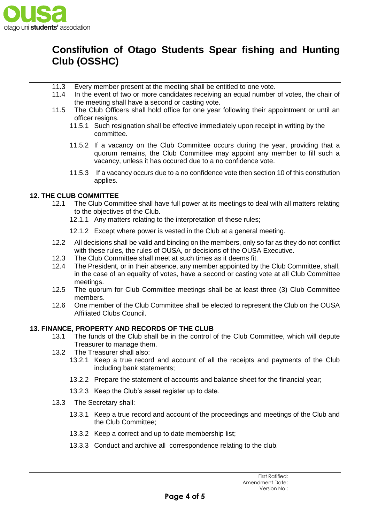

- 11.3 Every member present at the meeting shall be entitled to one vote.
- 11.4 In the event of two or more candidates receiving an equal number of votes, the chair of the meeting shall have a second or casting vote.
- 11.5 The Club Officers shall hold office for one year following their appointment or until an officer resigns.
	- 11.5.1 Such resignation shall be effective immediately upon receipt in writing by the committee.
	- 11.5.2 If a vacancy on the Club Committee occurs during the year, providing that a quorum remains, the Club Committee may appoint any member to fill such a vacancy, unless it has occured due to a no confidence vote.
	- 11.5.3 If a vacancy occurs due to a no confidence vote then section 10 of this constitution applies.

## **12. THE CLUB COMMITTEE**

- 12.1 The Club Committee shall have full power at its meetings to deal with all matters relating to the objectives of the Club.
	- 12.1.1 Any matters relating to the interpretation of these rules;
	- 12.1.2 Except where power is vested in the Club at a general meeting.
- 12.2 All decisions shall be valid and binding on the members, only so far as they do not conflict with these rules, the rules of OUSA, or decisions of the OUSA Executive.
- 12.3 The Club Committee shall meet at such times as it deems fit.
- 12.4 The President, or in their absence, any member appointed by the Club Committee, shall, in the case of an equality of votes, have a second or casting vote at all Club Committee meetings.
- 12.5 The quorum for Club Committee meetings shall be at least three (3) Club Committee members.
- 12.6 One member of the Club Committee shall be elected to represent the Club on the OUSA Affiliated Clubs Council.

### **13. FINANCE, PROPERTY AND RECORDS OF THE CLUB**

- 13.1 The funds of the Club shall be in the control of the Club Committee, which will depute Treasurer to manage them.
- 13.2 The Treasurer shall also:
	- 13.2.1 Keep a true record and account of all the receipts and payments of the Club including bank statements;
	- 13.2.2 Prepare the statement of accounts and balance sheet for the financial year;
	- 13.2.3 Keep the Club's asset register up to date.
- 13.3 The Secretary shall:
	- 13.3.1 Keep a true record and account of the proceedings and meetings of the Club and the Club Committee;
	- 13.3.2 Keep a correct and up to date membership list;
	- 13.3.3 Conduct and archive all correspondence relating to the club.